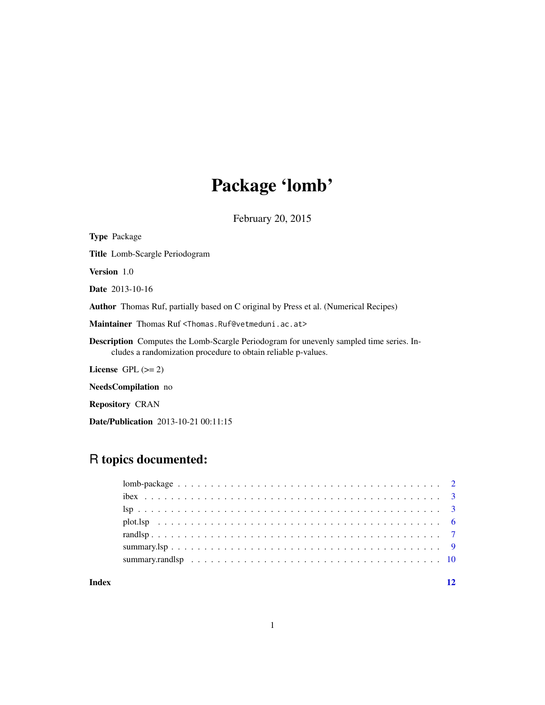# Package 'lomb'

February 20, 2015

<span id="page-0-0"></span>

| <b>Type Package</b>                                                                                                                                             |
|-----------------------------------------------------------------------------------------------------------------------------------------------------------------|
| <b>Title</b> Lomb-Scargle Periodogram                                                                                                                           |
| <b>Version</b> 1.0                                                                                                                                              |
| <b>Date</b> 2013-10-16                                                                                                                                          |
| <b>Author</b> Thomas Ruf, partially based on C original by Press et al. (Numerical Recipes)                                                                     |
| Maintainer Thomas Ruf <thomas.ruf@vetmeduni.ac.at></thomas.ruf@vetmeduni.ac.at>                                                                                 |
| <b>Description</b> Computes the Lomb-Scargle Periodogram for unevenly sampled time series. In-<br>cludes a randomization procedure to obtain reliable p-values. |
| License $GPL \, (= 2)$                                                                                                                                          |
| <b>NeedsCompilation</b> no                                                                                                                                      |

Repository CRAN

Date/Publication 2013-10-21 00:11:15

# R topics documented:

#### **Index** [12](#page-11-0)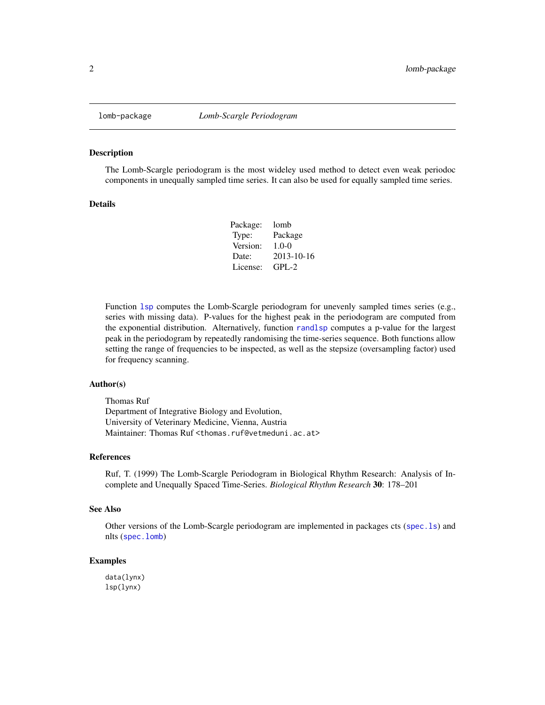<span id="page-1-0"></span>

#### Description

The Lomb-Scargle periodogram is the most wideley used method to detect even weak periodoc components in unequally sampled time series. It can also be used for equally sampled time series.

#### Details

| lomb       |
|------------|
| Package    |
| $1.0 - 0$  |
| 2013-10-16 |
| $GPI - 2$  |
|            |

Function [lsp](#page-2-1) computes the Lomb-Scargle periodogram for unevenly sampled times series (e.g., series with missing data). P-values for the highest peak in the periodogram are computed from the exponential distribution. Alternatively, function [randlsp](#page-6-1) computes a p-value for the largest peak in the periodogram by repeatedly randomising the time-series sequence. Both functions allow setting the range of frequencies to be inspected, as well as the stepsize (oversampling factor) used for frequency scanning.

#### Author(s)

Thomas Ruf Department of Integrative Biology and Evolution, University of Veterinary Medicine, Vienna, Austria Maintainer: Thomas Ruf <thomas.ruf@vetmeduni.ac.at>

### References

Ruf, T. (1999) The Lomb-Scargle Periodogram in Biological Rhythm Research: Analysis of Incomplete and Unequally Spaced Time-Series. *Biological Rhythm Research* 30: 178–201

#### See Also

Other versions of the Lomb-Scargle periodogram are implemented in packages cts ([spec.ls](#page-0-0)) and nlts ([spec.lomb](#page-0-0))

#### Examples

data(lynx) lsp(lynx)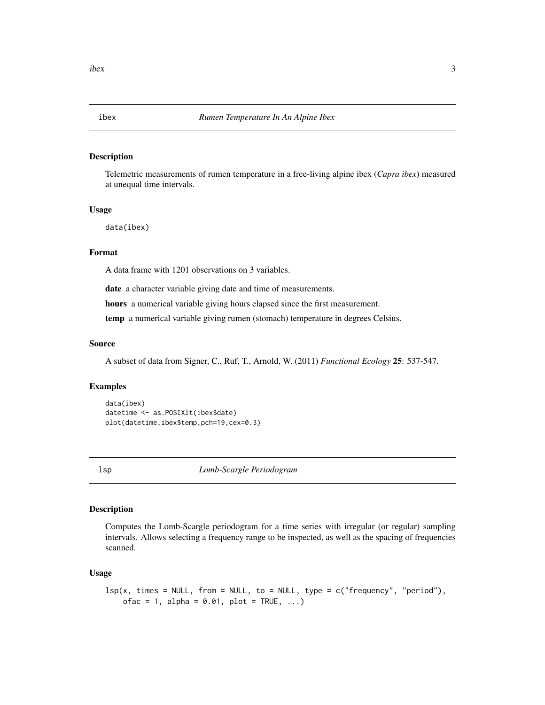<span id="page-2-0"></span>

# Description

Telemetric measurements of rumen temperature in a free-living alpine ibex (*Capra ibex*) measured at unequal time intervals.

# Usage

data(ibex)

# Format

A data frame with 1201 observations on 3 variables.

date a character variable giving date and time of measurements.

hours a numerical variable giving hours elapsed since the first measurement.

temp a numerical variable giving rumen (stomach) temperature in degrees Celsius.

## Source

A subset of data from Signer, C., Ruf, T., Arnold, W. (2011) *Functional Ecology* 25: 537-547.

# Examples

```
data(ibex)
datetime <- as.POSIXlt(ibex$date)
plot(datetime,ibex$temp,pch=19,cex=0.3)
```
<span id="page-2-1"></span>

lsp *Lomb-Scargle Periodogram*

#### Description

Computes the Lomb-Scargle periodogram for a time series with irregular (or regular) sampling intervals. Allows selecting a frequency range to be inspected, as well as the spacing of frequencies scanned.

#### Usage

```
lsp(x, times = NULL, from = NULL, to = NULL, type = c("frequency", "period"),
   ofac = 1, alpha = 0.01, plot = TRUE, ...)
```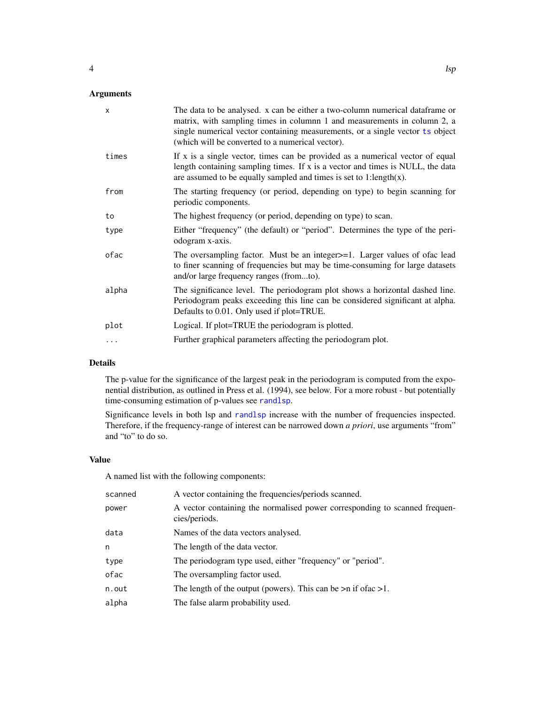# <span id="page-3-0"></span>Arguments

| $\times$ | The data to be analysed. x can be either a two-column numerical dataframe or<br>matrix, with sampling times in columnn 1 and measurements in column 2, a<br>single numerical vector containing measurements, or a single vector ts object<br>(which will be converted to a numerical vector). |
|----------|-----------------------------------------------------------------------------------------------------------------------------------------------------------------------------------------------------------------------------------------------------------------------------------------------|
| times    | If $x$ is a single vector, times can be provided as a numerical vector of equal<br>length containing sampling times. If x is a vector and times is NULL, the data<br>are assumed to be equally sampled and times is set to 1:length $(x)$ .                                                   |
| from     | The starting frequency (or period, depending on type) to begin scanning for<br>periodic components.                                                                                                                                                                                           |
| to       | The highest frequency (or period, depending on type) to scan.                                                                                                                                                                                                                                 |
| type     | Either "frequency" (the default) or "period". Determines the type of the peri-<br>odogram x-axis.                                                                                                                                                                                             |
| ofac     | The oversampling factor. Must be an integer >=1. Larger values of ofac lead<br>to finer scanning of frequencies but may be time-consuming for large datasets<br>and/or large frequency ranges (fromto).                                                                                       |
| alpha    | The significance level. The periodogram plot shows a horizontal dashed line.<br>Periodogram peaks exceeding this line can be considered significant at alpha.<br>Defaults to 0.01. Only used if plot=TRUE.                                                                                    |
| plot     | Logical. If plot=TRUE the periodogram is plotted.                                                                                                                                                                                                                                             |
| .        | Further graphical parameters affecting the periodogram plot.                                                                                                                                                                                                                                  |
|          |                                                                                                                                                                                                                                                                                               |

# Details

The p-value for the significance of the largest peak in the periodogram is computed from the exponential distribution, as outlined in Press et al. (1994), see below. For a more robust - but potentially time-consuming estimation of p-values see [randlsp](#page-6-1).

Significance levels in both lsp and [randlsp](#page-6-1) increase with the number of frequencies inspected. Therefore, if the frequency-range of interest can be narrowed down *a priori*, use arguments "from" and "to" to do so.

# Value

A named list with the following components:

| scanned | A vector containing the frequencies/periods scanned.                                        |
|---------|---------------------------------------------------------------------------------------------|
| power   | A vector containing the normalised power corresponding to scanned frequen-<br>cies/periods. |
| data    | Names of the data vectors analysed.                                                         |
| n       | The length of the data vector.                                                              |
| type    | The periodogram type used, either "frequency" or "period".                                  |
| ofac    | The oversampling factor used.                                                               |
| n.out   | The length of the output (powers). This can be $>n$ if of ac $>1$ .                         |
| alpha   | The false alarm probability used.                                                           |
|         |                                                                                             |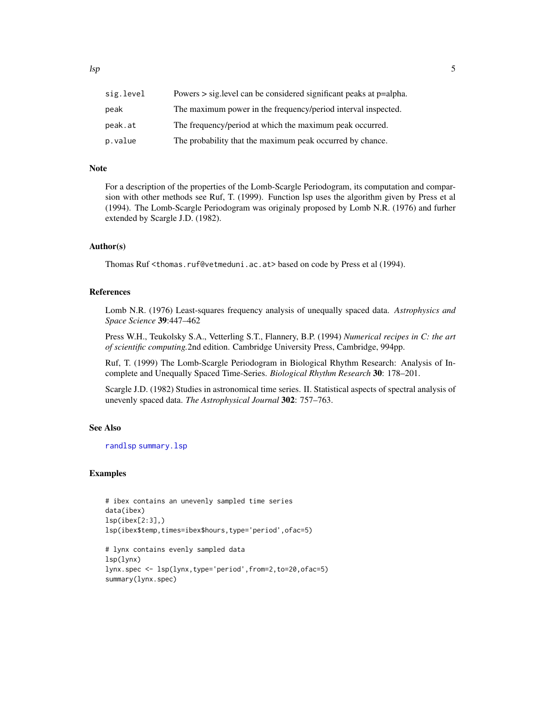<span id="page-4-0"></span>

| sig.level | Powers $>$ sig. level can be considered significant peaks at $p$ =alpha. |
|-----------|--------------------------------------------------------------------------|
| peak      | The maximum power in the frequency/period interval inspected.            |
| peak.at   | The frequency/period at which the maximum peak occurred.                 |
| p.value   | The probability that the maximum peak occurred by chance.                |

#### Note

For a description of the properties of the Lomb-Scargle Periodogram, its computation and comparsion with other methods see Ruf, T. (1999). Function lsp uses the algorithm given by Press et al (1994). The Lomb-Scargle Periodogram was originaly proposed by Lomb N.R. (1976) and furher extended by Scargle J.D. (1982).

#### Author(s)

Thomas Ruf <thomas.ruf@vetmeduni.ac.at>based on code by Press et al (1994).

#### References

Lomb N.R. (1976) Least-squares frequency analysis of unequally spaced data. *Astrophysics and Space Science* 39:447–462

Press W.H., Teukolsky S.A., Vetterling S.T., Flannery, B.P. (1994) *Numerical recipes in C: the art of scientific computing.*2nd edition. Cambridge University Press, Cambridge, 994pp.

Ruf, T. (1999) The Lomb-Scargle Periodogram in Biological Rhythm Research: Analysis of Incomplete and Unequally Spaced Time-Series. *Biological Rhythm Research* 30: 178–201.

Scargle J.D. (1982) Studies in astronomical time series. II. Statistical aspects of spectral analysis of unevenly spaced data. *The Astrophysical Journal* 302: 757–763.

#### See Also

[randlsp](#page-6-1) [summary.lsp](#page-8-1)

#### Examples

```
# ibex contains an unevenly sampled time series
data(ibex)
lsp(ibex[2:3],)
lsp(ibex$temp,times=ibex$hours,type='period',ofac=5)
# lynx contains evenly sampled data
lsp(lynx)
lynx.spec <- lsp(lynx,type='period',from=2,to=20,ofac=5)
```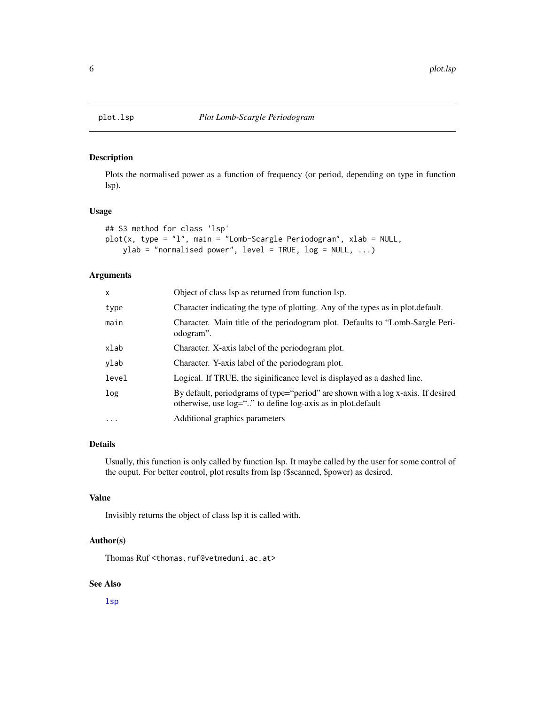<span id="page-5-0"></span>

# Description

Plots the normalised power as a function of frequency (or period, depending on type in function lsp).

#### Usage

```
## S3 method for class 'lsp'
plot(x, type = "l", main = "Lomb-Scargle Periodogram", xlab = NULL,ylab = "normalised power", level = TRUE, log = NULL, ...)
```
#### Arguments

| x        | Object of class lsp as returned from function lsp.                                                                                                   |
|----------|------------------------------------------------------------------------------------------------------------------------------------------------------|
| type     | Character indicating the type of plotting. Any of the types as in plot.default.                                                                      |
| main     | Character. Main title of the periodogram plot. Defaults to "Lomb-Sargle Peri-<br>odogram".                                                           |
| xlab     | Character. X-axis label of the periodogram plot.                                                                                                     |
| ylab     | Character. Y-axis label of the periodogram plot.                                                                                                     |
| level    | Logical. If TRUE, the siginificance level is displayed as a dashed line.                                                                             |
| log      | By default, periodgrams of type="period" are shown with a log x-axis. If desired<br>otherwise, use $log=$ "" to define $log-axis$ as in plot default |
| $\cdots$ | Additional graphics parameters                                                                                                                       |
|          |                                                                                                                                                      |

#### Details

Usually, this function is only called by function lsp. It maybe called by the user for some control of the ouput. For better control, plot results from lsp (\$scanned, \$power) as desired.

#### Value

Invisibly returns the object of class lsp it is called with.

#### Author(s)

Thomas Ruf <thomas.ruf@vetmeduni.ac.at>

# See Also

[lsp](#page-2-1)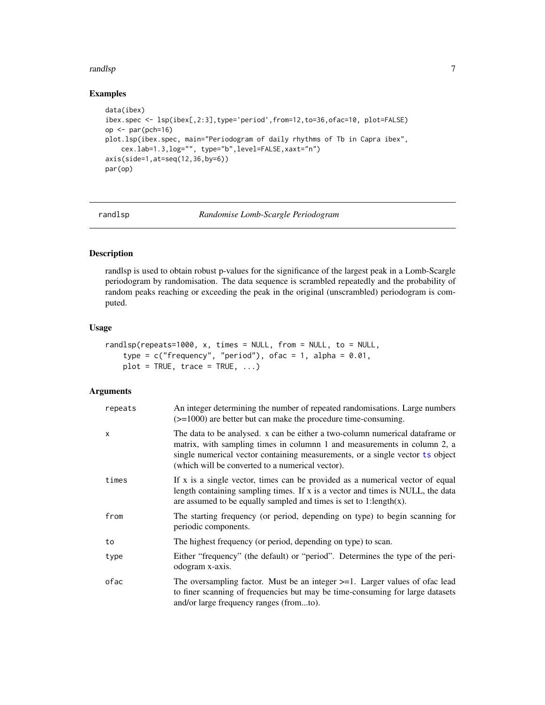#### <span id="page-6-0"></span>randlsp **7**

# Examples

```
data(ibex)
ibex.spec <- lsp(ibex[,2:3],type='period',from=12,to=36,ofac=10, plot=FALSE)
op <- par(pch=16)
plot.lsp(ibex.spec, main="Periodogram of daily rhythms of Tb in Capra ibex",
   cex.lab=1.3,log="", type="b",level=FALSE,xaxt="n")
axis(side=1,at=seq(12,36,by=6))
par(op)
```
<span id="page-6-1"></span>randlsp *Randomise Lomb-Scargle Periodogram*

#### Description

randlsp is used to obtain robust p-values for the significance of the largest peak in a Lomb-Scargle periodogram by randomisation. The data sequence is scrambled repeatedly and the probability of random peaks reaching or exceeding the peak in the original (unscrambled) periodogram is computed.

# Usage

```
randlsp(repeats=1000, x, times = NULL, from = NULL, to = NULL,
   type = c("frequency", "period"), of ac = 1, alpha = 0.01,plot = TRUE, trace = TRUE, ...)
```
### Arguments

| repeats | An integer determining the number of repeated randomisations. Large numbers<br>$(>=1000)$ are better but can make the procedure time-consuming.                                                                                                                                                |
|---------|------------------------------------------------------------------------------------------------------------------------------------------------------------------------------------------------------------------------------------------------------------------------------------------------|
| x       | The data to be analysed. x can be either a two-column numerical data frame or<br>matrix, with sampling times in columnn 1 and measurements in column 2, a<br>single numerical vector containing measurements, or a single vector ts object<br>(which will be converted to a numerical vector). |
| times   | If x is a single vector, times can be provided as a numerical vector of equal<br>length containing sampling times. If x is a vector and times is NULL, the data<br>are assumed to be equally sampled and times is set to 1:length $(x)$ .                                                      |
| from    | The starting frequency (or period, depending on type) to begin scanning for<br>periodic components.                                                                                                                                                                                            |
| to      | The highest frequency (or period, depending on type) to scan.                                                                                                                                                                                                                                  |
| type    | Either "frequency" (the default) or "period". Determines the type of the peri-<br>odogram x-axis.                                                                                                                                                                                              |
| ofac    | The oversampling factor. Must be an integer $>=1$ . Larger values of ofac lead<br>to finer scanning of frequencies but may be time-consuming for large datasets<br>and/or large frequency ranges (fromto).                                                                                     |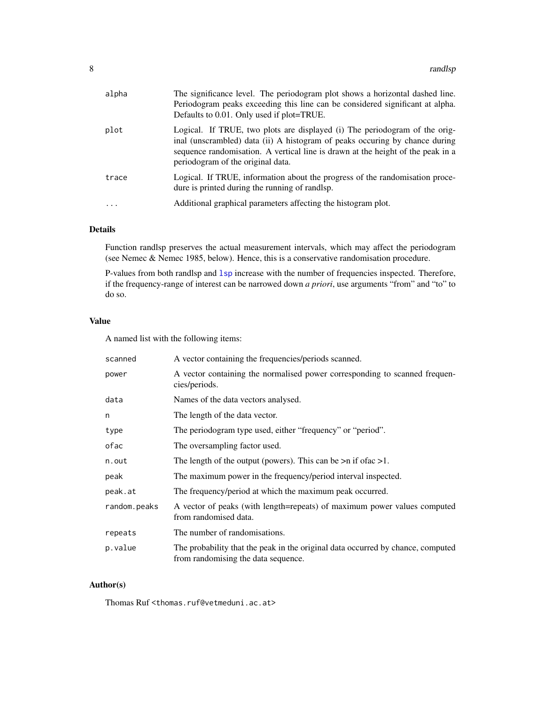<span id="page-7-0"></span>

| alpha | The significance level. The periodogram plot shows a horizontal dashed line.<br>Periodogram peaks exceeding this line can be considered significant at alpha.<br>Defaults to 0.01. Only used if plot=TRUE.                                                                        |
|-------|-----------------------------------------------------------------------------------------------------------------------------------------------------------------------------------------------------------------------------------------------------------------------------------|
| plot  | Logical. If TRUE, two plots are displayed (i) The periodogram of the orig-<br>inal (unscrambled) data (ii) A histogram of peaks occuring by chance during<br>sequence randomisation. A vertical line is drawn at the height of the peak in a<br>periodogram of the original data. |
| trace | Logical. If TRUE, information about the progress of the randomisation proce-<br>dure is printed during the running of randlsp.                                                                                                                                                    |
| .     | Additional graphical parameters affecting the histogram plot.                                                                                                                                                                                                                     |

# Details

Function randlsp preserves the actual measurement intervals, which may affect the periodogram (see Nemec & Nemec 1985, below). Hence, this is a conservative randomisation procedure.

P-values from both randlsp and [lsp](#page-2-1) increase with the number of frequencies inspected. Therefore, if the frequency-range of interest can be narrowed down *a priori*, use arguments "from" and "to" to do so.

# Value

A named list with the following items:

| scanned      | A vector containing the frequencies/periods scanned.                                                                   |
|--------------|------------------------------------------------------------------------------------------------------------------------|
| power        | A vector containing the normalised power corresponding to scanned frequen-<br>cies/periods.                            |
| data         | Names of the data vectors analysed.                                                                                    |
| n            | The length of the data vector.                                                                                         |
| type         | The periodogram type used, either "frequency" or "period".                                                             |
| ofac         | The oversampling factor used.                                                                                          |
| n.out        | The length of the output (powers). This can be $>n$ if of ac $>1$ .                                                    |
| peak         | The maximum power in the frequency/period interval inspected.                                                          |
| peak.at      | The frequency/period at which the maximum peak occurred.                                                               |
| random.peaks | A vector of peaks (with length=repeats) of maximum power values computed<br>from randomised data.                      |
| repeats      | The number of randomisations.                                                                                          |
| p.value      | The probability that the peak in the original data occurred by chance, computed<br>from randomising the data sequence. |

# Author(s)

Thomas Ruf <thomas.ruf@vetmeduni.ac.at>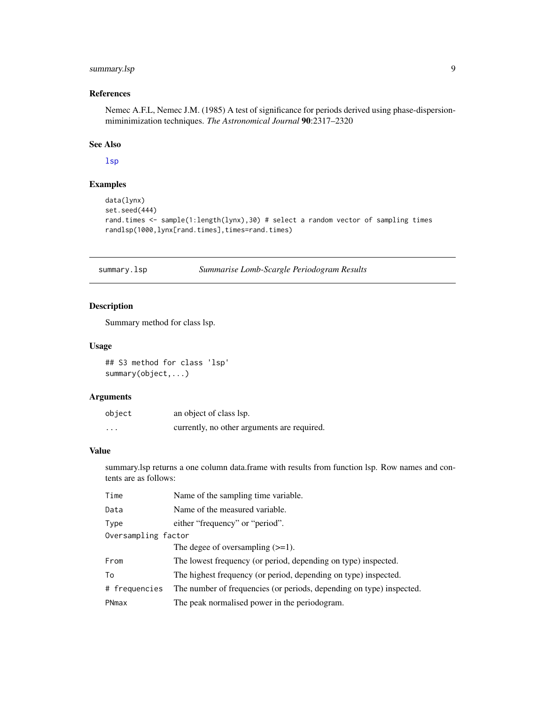# <span id="page-8-0"></span>summary.lsp 9

# References

Nemec A.F.L, Nemec J.M. (1985) A test of significance for periods derived using phase-dispersionmiminimization techniques. *The Astronomical Journal* 90:2317–2320

# See Also

[lsp](#page-2-1)

# Examples

```
data(lynx)
set.seed(444)
rand.times <- sample(1:length(lynx),30) # select a random vector of sampling times
randlsp(1000,lynx[rand.times],times=rand.times)
```
<span id="page-8-1"></span>summary.lsp *Summarise Lomb-Scargle Periodogram Results*

# Description

Summary method for class lsp.

#### Usage

## S3 method for class 'lsp' summary(object,...)

#### Arguments

| object   | an object of class lsp.                     |
|----------|---------------------------------------------|
| $\cdots$ | currently, no other arguments are required. |

# Value

summary.lsp returns a one column data.frame with results from function lsp. Row names and contents are as follows:

| Time                | Name of the sampling time variable.                                  |
|---------------------|----------------------------------------------------------------------|
| Data                | Name of the measured variable.                                       |
| Type                | either "frequency" or "period".                                      |
| Oversampling factor |                                                                      |
|                     | The degee of oversampling $(\geq=1)$ .                               |
| From                | The lowest frequency (or period, depending on type) inspected.       |
| To                  | The highest frequency (or period, depending on type) inspected.      |
| # frequencies       | The number of frequencies (or periods, depending on type) inspected. |
| PNmax               | The peak normalised power in the periodogram.                        |
|                     |                                                                      |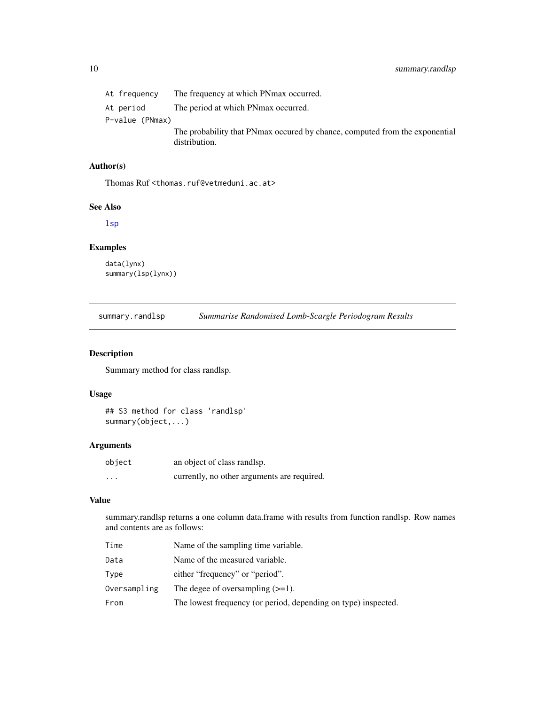<span id="page-9-0"></span>

| At frequency    | The frequency at which PNmax occurred.                                                        |
|-----------------|-----------------------------------------------------------------------------------------------|
| At period       | The period at which PNmax occurred.                                                           |
| P-value (PNmax) |                                                                                               |
|                 | The probability that PNmax occurred by chance, computed from the exponential<br>distribution. |

# Author(s)

Thomas Ruf <thomas.ruf@vetmeduni.ac.at>

#### See Also

[lsp](#page-2-1)

# Examples

```
data(lynx)
summary(lsp(lynx))
```
summary.randlsp *Summarise Randomised Lomb-Scargle Periodogram Results*

# Description

Summary method for class randlsp.

# Usage

```
## S3 method for class 'randlsp'
summary(object,...)
```
# Arguments

| object   | an object of class randlsp.                 |
|----------|---------------------------------------------|
| $\cdots$ | currently, no other arguments are required. |

#### Value

summary.randlsp returns a one column data.frame with results from function randlsp. Row names and contents are as follows:

| Time         | Name of the sampling time variable.                            |
|--------------|----------------------------------------------------------------|
| Data         | Name of the measured variable.                                 |
| Type         | either "frequency" or "period".                                |
| Oversampling | The degee of oversampling $(>=1)$ .                            |
| From         | The lowest frequency (or period, depending on type) inspected. |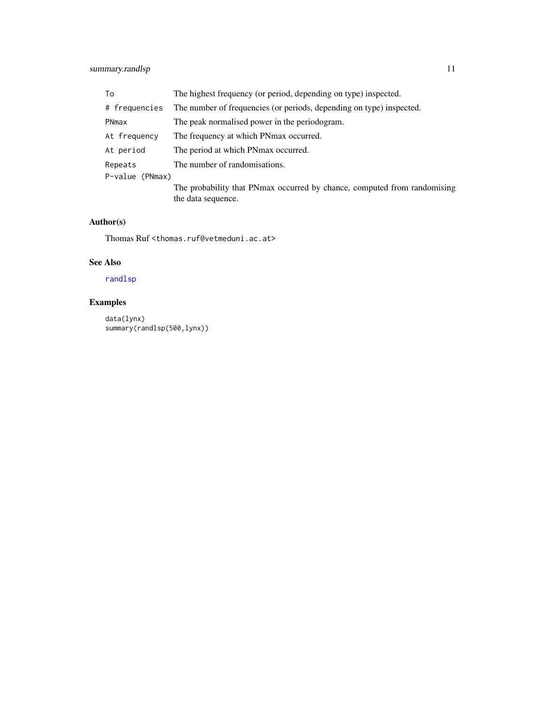# <span id="page-10-0"></span>summary.randlsp 11

| To              | The highest frequency (or period, depending on type) inspected.                                |
|-----------------|------------------------------------------------------------------------------------------------|
| # frequencies   | The number of frequencies (or periods, depending on type) inspected.                           |
| PNmax           | The peak normalised power in the periodogram.                                                  |
| At frequency    | The frequency at which PN max occurred.                                                        |
| At period       | The period at which PNmax occurred.                                                            |
| Repeats         | The number of randomisations.                                                                  |
| P-value (PNmax) |                                                                                                |
|                 | The probability that PNmax occurred by chance, computed from randomising<br>the data sequence. |

# Author(s)

Thomas Ruf <thomas.ruf@vetmeduni.ac.at>

# See Also

# [randlsp](#page-6-1)

# Examples

data(lynx) summary(randlsp(500,lynx))